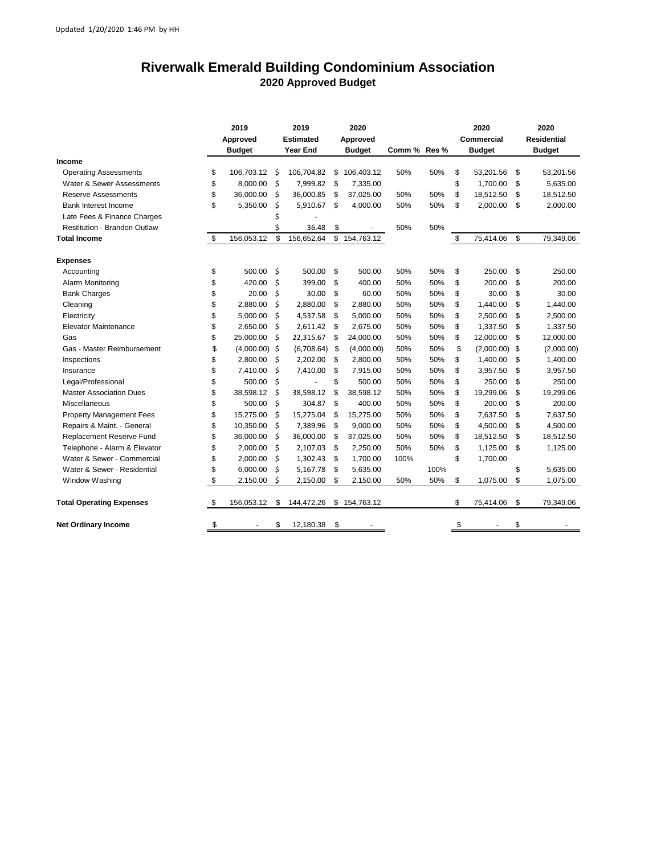## **Riverwalk Emerald Building Condominium Association 2020 Approved Budget**

|                                     | 2019<br>Approved<br><b>Budget</b> |                 | 2019<br><b>Estimated</b><br><b>Year End</b> |            | 2020<br>Approved<br><b>Budget</b> |              | Comm % Res % |      | 2020<br><b>Commercial</b><br><b>Budget</b> |                 | 2020<br><b>Residential</b><br><b>Budget</b> |
|-------------------------------------|-----------------------------------|-----------------|---------------------------------------------|------------|-----------------------------------|--------------|--------------|------|--------------------------------------------|-----------------|---------------------------------------------|
| Income                              |                                   |                 |                                             |            |                                   |              |              |      |                                            |                 |                                             |
| <b>Operating Assessments</b>        | \$                                | 106,703.12      | \$                                          | 106,704.82 | \$                                | 106,403.12   | 50%          | 50%  | \$                                         | 53,201.56       | \$<br>53,201.56                             |
| Water & Sewer Assessments           | \$                                | 8.000.00        | \$                                          | 7,999.82   | \$                                | 7,335.00     |              |      | \$                                         | 1,700.00        | \$<br>5,635.00                              |
| <b>Reserve Assessments</b>          | \$                                | 36,000.00       | \$                                          | 36,000.85  | \$                                | 37,025.00    | 50%          | 50%  | \$                                         | 18,512.50       | \$<br>18,512.50                             |
| Bank Interest Income                | \$                                | 5,350.00        | \$                                          | 5,910.67   | \$                                | 4,000.00     | 50%          | 50%  | \$                                         | 2,000.00        | \$<br>2,000.00                              |
| Late Fees & Finance Charges         |                                   |                 | \$                                          |            |                                   |              |              |      |                                            |                 |                                             |
| <b>Restitution - Brandon Outlaw</b> |                                   |                 | Ś                                           | 36.48      | \$                                |              | 50%          | 50%  |                                            |                 |                                             |
| <b>Total Income</b>                 | \$                                | 156,053.12      | \$                                          | 156,652.64 | \$                                | 154,763.12   |              |      | \$                                         | 75,414.06       | \$<br>79,349.06                             |
| <b>Expenses</b>                     |                                   |                 |                                             |            |                                   |              |              |      |                                            |                 |                                             |
| Accounting                          | \$                                | 500.00          | Ŝ.                                          | 500.00     | \$                                | 500.00       | 50%          | 50%  | \$                                         | 250.00          | \$<br>250.00                                |
| Alarm Monitoring                    | \$                                | 420.00          | \$                                          | 399.00     | \$                                | 400.00       | 50%          | 50%  | \$                                         | 200.00          | \$<br>200.00                                |
| <b>Bank Charges</b>                 | \$                                | 20.00           | \$                                          | 30.00      | \$                                | 60.00        | 50%          | 50%  | \$                                         | 30.00           | \$<br>30.00                                 |
| Cleaning                            | \$                                | 2,880.00        | \$                                          | 2,880.00   | \$                                | 2,880.00     | 50%          | 50%  | \$                                         | 1,440.00        | \$<br>1,440.00                              |
| Electricity                         | \$                                | 5,000.00        | Ś                                           | 4,537.58   | \$                                | 5,000.00     | 50%          | 50%  | \$                                         | 2,500.00        | \$<br>2,500.00                              |
| Elevator Maintenance                | \$                                | 2,650.00        | \$                                          | 2,611.42   | \$                                | 2,675.00     | 50%          | 50%  | \$                                         | 1,337.50        | \$<br>1,337.50                              |
| Gas                                 | \$                                | 25,000.00       | Ś                                           | 22,315.67  | \$                                | 24,000.00    | 50%          | 50%  | \$                                         | 12,000.00       | \$<br>12,000.00                             |
| Gas - Master Reimbursement          | \$                                | $(4,000.00)$ \$ |                                             | (6,708.64) | \$                                | (4,000.00)   | 50%          | 50%  | \$                                         | $(2,000.00)$ \$ | (2,000.00)                                  |
| Inspections                         | \$                                | 2,800.00        | Ś                                           | 2,202.00   | \$                                | 2,800.00     | 50%          | 50%  | \$                                         | 1,400.00        | \$<br>1,400.00                              |
| Insurance                           | \$                                | 7,410.00        | \$                                          | 7,410.00   | \$                                | 7,915.00     | 50%          | 50%  | \$                                         | 3,957.50        | \$<br>3,957.50                              |
| Legal/Professional                  | \$                                | 500.00          | \$                                          |            | \$                                | 500.00       | 50%          | 50%  | \$                                         | 250.00          | \$<br>250.00                                |
| <b>Master Association Dues</b>      | \$                                | 38,598.12       | \$                                          | 38,598.12  | \$                                | 38,598.12    | 50%          | 50%  | \$                                         | 19,299.06       | \$<br>19,299.06                             |
| <b>Miscellaneous</b>                | \$                                | 500.00          | \$                                          | 304.87     | \$                                | 400.00       | 50%          | 50%  | \$                                         | 200.00          | \$<br>200.00                                |
| <b>Property Management Fees</b>     | \$                                | 15,275.00       | \$                                          | 15,275.04  | \$                                | 15,275.00    | 50%          | 50%  | \$                                         | 7,637.50        | \$<br>7,637.50                              |
| Repairs & Maint. - General          | \$                                | 10,350.00       | \$                                          | 7,389.96   | \$                                | 9,000.00     | 50%          | 50%  | \$                                         | 4,500.00        | \$<br>4,500.00                              |
| Replacement Reserve Fund            | \$                                | 36,000.00       | Ś                                           | 36,000.00  | S.                                | 37,025.00    | 50%          | 50%  | \$                                         | 18,512.50       | \$<br>18,512.50                             |
| Telephone - Alarm & Elevator        | \$                                | 2,000.00        | \$                                          | 2,107.03   | \$                                | 2,250.00     | 50%          | 50%  | \$                                         | 1,125.00        | \$<br>1,125.00                              |
| Water & Sewer - Commercial          | \$                                | 2,000.00        | Ś                                           | 1,302.43   | \$                                | 1,700.00     | 100%         |      | \$                                         | 1,700.00        |                                             |
| Water & Sewer - Residential         | \$                                | 6,000.00        | \$                                          | 5,167.78   | \$                                | 5,635.00     |              | 100% |                                            |                 | \$<br>5,635.00                              |
| Window Washing                      | \$                                | 2,150.00        | Ś                                           | 2,150.00   | \$                                | 2,150.00     | 50%          | 50%  | \$                                         | 1,075.00        | \$<br>1,075.00                              |
| <b>Total Operating Expenses</b>     | \$                                | 156,053.12      | \$                                          | 144,472.26 |                                   | \$154,763.12 |              |      | \$                                         | 75,414.06       | \$<br>79,349.06                             |
| <b>Net Ordinary Income</b>          | \$                                |                 | \$                                          | 12,180.38  | \$                                |              |              |      | \$                                         |                 | \$                                          |